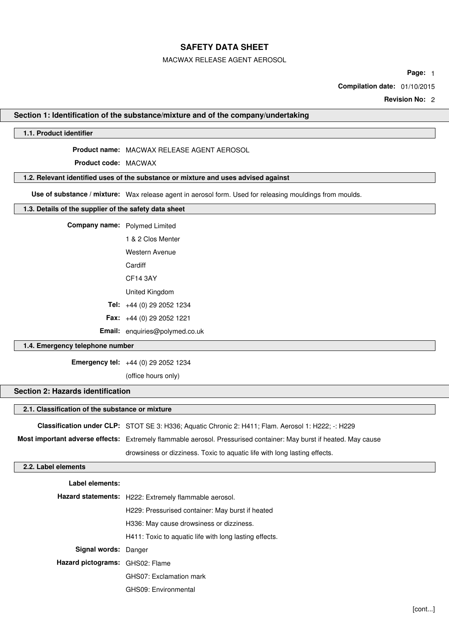MACWAX RELEASE AGENT AEROSOL

**Page:** 1

**Compilation date:** 01/10/2015

**Revision No:** 2

### **Section 1: Identification of the substance/mixture and of the company/undertaking**

### **1.1. Product identifier**

**Product name:** MACWAX RELEASE AGENT AEROSOL

**Product code:** MACWAX

### **1.2. Relevant identified uses of the substance or mixture and uses advised against**

**Use of substance / mixture:** Wax release agent in aerosol form. Used for releasing mouldings from moulds.

#### **1.3. Details of the supplier of the safety data sheet**

**Company name:** Polymed Limited

1 & 2 Clos Menter Western Avenue **Cardiff** 

CF14 3AY

United Kingdom

**Tel:** +44 (0) 29 2052 1234

**Fax:** +44 (0) 29 2052 1221

**Email:** enquiries@polymed.co.uk

## **1.4. Emergency telephone number**

**Emergency tel:** +44 (0) 29 2052 1234

(office hours only)

## **Section 2: Hazards identification**

## **2.1. Classification of the substance or mixture**

**Classification under CLP:** STOT SE 3: H336; Aquatic Chronic 2: H411; Flam. Aerosol 1: H222; -: H229

**Most important adverse effects:** Extremely flammable aerosol. Pressurised container: May burst if heated. May cause drowsiness or dizziness. Toxic to aquatic life with long lasting effects.

## **2.2. Label elements**

| Label elements:                 |                                                        |  |  |  |
|---------------------------------|--------------------------------------------------------|--|--|--|
|                                 | Hazard statements: H222: Extremely flammable aerosol.  |  |  |  |
|                                 | H229: Pressurised container: May burst if heated       |  |  |  |
|                                 | H336: May cause drowsiness or dizziness.               |  |  |  |
|                                 | H411: Toxic to aquatic life with long lasting effects. |  |  |  |
| Signal words: Danger            |                                                        |  |  |  |
| Hazard pictograms: GHS02: Flame |                                                        |  |  |  |
|                                 | GHS07: Exclamation mark                                |  |  |  |
|                                 | GHS09: Environmental                                   |  |  |  |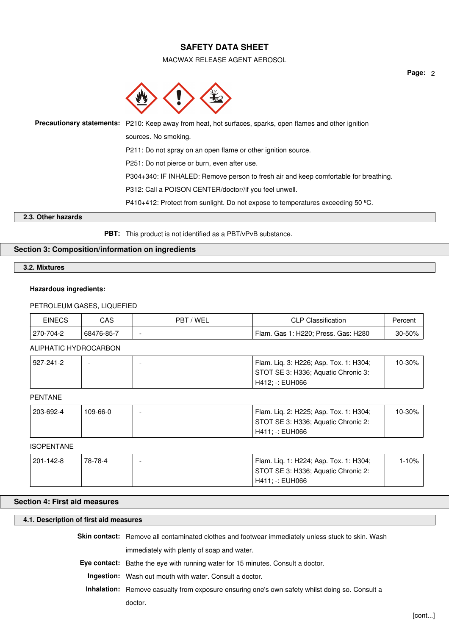MACWAX RELEASE AGENT AEROSOL



| Precautionary statements: P210: Keep away from heat, hot surfaces, sparks, open flames and other ignition |
|-----------------------------------------------------------------------------------------------------------|
| sources. No smoking.                                                                                      |
| P211: Do not spray on an open flame or other ignition source.                                             |
| P251: Do not pierce or burn, even after use.                                                              |
| P304+340: IF INHALED: Remove person to fresh air and keep comfortable for breathing.                      |
| P312: Call a POISON CENTER/doctor//if you feel unwell.                                                    |
| P410+412: Protect from sunlight. Do not expose to temperatures exceeding 50 $^{\circ}$ C.                 |

### **2.3. Other hazards**

**PBT:** This product is not identified as a PBT/vPvB substance.

## **Section 3: Composition/information on ingredients**

**3.2. Mixtures**

## **Hazardous ingredients:**

### PETROLEUM GASES, LIQUEFIED

| <b>EINECS</b> | CAS        | 'WEL<br>PBT | <b>CLP Classification</b>              | ษercenเ |
|---------------|------------|-------------|----------------------------------------|---------|
| 270-704-2     | 68476-85-7 | -           | Flam.<br>Gas 1: H220; Press. Gas: H280 | 30-50%  |

### ALIPHATIC HYDROCARBON

| 927-241-2 |  | Flam. Lig. 3: H226; Asp. Tox. 1: H304; | $10 - 30\%$ |
|-----------|--|----------------------------------------|-------------|
|           |  | STOT SE 3: H336; Aquatic Chronic 3:    |             |
|           |  | H412: -: EUH066                        |             |

### PENTANE

| 203-692-4 | 109-66-0 | Flam. Lig. 2: H225; Asp. Tox. 1: H304; | $10-30\%$ . |
|-----------|----------|----------------------------------------|-------------|
|           |          | STOT SE 3: H336; Aquatic Chronic 2:    |             |
|           |          | H411: -: EUH066                        |             |

#### ISOPENTANE

| 201-142-8 | 78-78-4 | Flam. Lig. 1: H224; Asp. Tox. 1: H304; | 1-10% |
|-----------|---------|----------------------------------------|-------|
|           |         | STOT SE 3: H336; Aquatic Chronic 2:    |       |
|           |         | H411: -: EUH066                        |       |

## **Section 4: First aid measures**

## **4.1. Description of first aid measures**

**Skin contact:** Remove all contaminated clothes and footwear immediately unless stuck to skin. Wash

immediately with plenty of soap and water.

**Eye contact:** Bathe the eye with running water for 15 minutes. Consult a doctor.

**Ingestion:** Wash out mouth with water. Consult a doctor.

**Inhalation:** Remove casualty from exposure ensuring one's own safety whilst doing so. Consult a

doctor.

**Page:** 2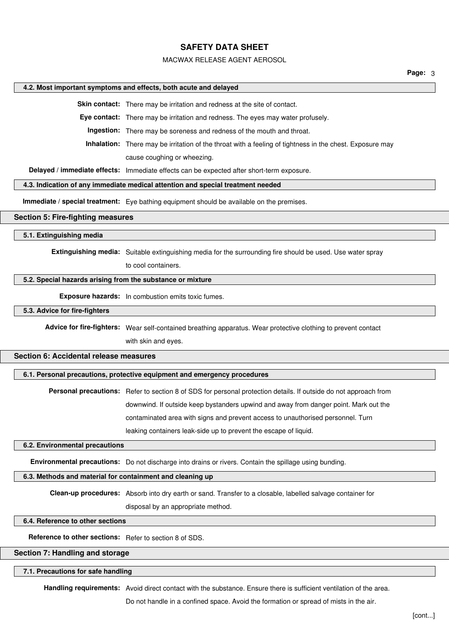### MACWAX RELEASE AGENT AEROSOL

**Page:** 3

#### **4.2. Most important symptoms and effects, both acute and delayed**

**Skin contact:** There may be irritation and redness at the site of contact.

**Eye contact:** There may be irritation and redness. The eyes may water profusely.

**Ingestion:** There may be soreness and redness of the mouth and throat.

**Inhalation:** There may be irritation of the throat with a feeling of tightness in the chest. Exposure may

cause coughing or wheezing.

**Delayed / immediate effects:** Immediate effects can be expected after short-term exposure.

## **4.3. Indication of any immediate medical attention and special treatment needed**

**Immediate / special treatment:** Eye bathing equipment should be available on the premises.

### **Section 5: Fire-fighting measures**

## **5.1. Extinguishing media**

**Extinguishing media:** Suitable extinguishing media for the surrounding fire should be used. Use water spray

to cool containers.

### **5.2. Special hazards arising from the substance or mixture**

**Exposure hazards:** In combustion emits toxic fumes.

### **5.3. Advice for fire-fighters**

**Advice for fire-fighters:** Wear self-contained breathing apparatus. Wear protective clothing to prevent contact with skin and eyes.

#### **Section 6: Accidental release measures**

## **6.1. Personal precautions, protective equipment and emergency procedures**

**Personal precautions:** Refer to section 8 of SDS for personal protection details. If outside do not approach from downwind. If outside keep bystanders upwind and away from danger point. Mark out the contaminated area with signs and prevent access to unauthorised personnel. Turn leaking containers leak-side up to prevent the escape of liquid.

#### **6.2. Environmental precautions**

**Environmental precautions:** Do not discharge into drains or rivers. Contain the spillage using bunding.

## **6.3. Methods and material for containment and cleaning up**

**Clean-up procedures:** Absorb into dry earth or sand. Transfer to a closable, labelled salvage container for

disposal by an appropriate method.

## **6.4. Reference to other sections**

**Reference to other sections:** Refer to section 8 of SDS.

## **Section 7: Handling and storage**

#### **7.1. Precautions for safe handling**

**Handling requirements:** Avoid direct contact with the substance. Ensure there is sufficient ventilation of the area.

Do not handle in a confined space. Avoid the formation or spread of mists in the air.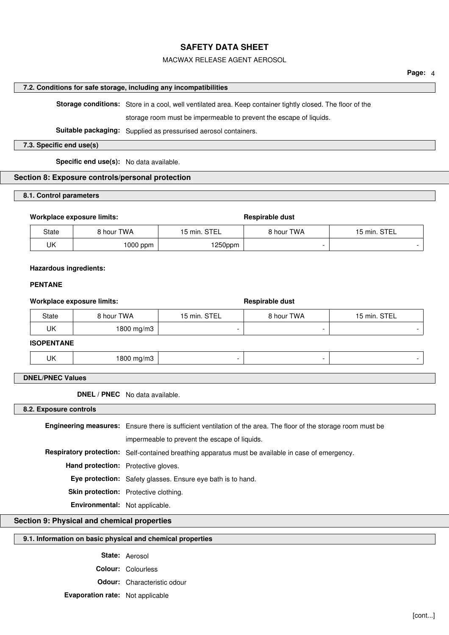## MACWAX RELEASE AGENT AEROSOL

## **7.2. Conditions for safe storage, including any incompatibilities**

**Storage conditions:** Store in a cool, well ventilated area. Keep container tightly closed. The floor of the

storage room must be impermeable to prevent the escape of liquids.

**Suitable packaging:** Supplied as pressurised aerosol containers.

### **7.3. Specific end use(s)**

**Specific end use(s):** No data available.

## **Section 8: Exposure controls/personal protection**

## **8.1. Control parameters**

#### Workplace exposure limits: **Respirable dust** Respirable dust

| State | <b>8 hour TWA</b> | 15 min. STEL | 8 hour TWA | 15 min. STEL |
|-------|-------------------|--------------|------------|--------------|
| UK    | $1000$ ppm        | 250ppm       |            | -            |

### **Hazardous ingredients:**

## **PENTANE**

### Workplace exposure limits: **Respirable dust** Respirable dust

| State | hour TWA ا | 15 min. STEL | 8 hour TWA | 15 min. STEL |
|-------|------------|--------------|------------|--------------|
| UK    | 1800 mg/m3 |              |            |              |

## **ISOPENTANE**

|--|--|--|

## **DNEL/PNEC Values**

**DNEL / PNEC** No data available.

**8.2. Exposure controls**

|                                | <b>Engineering measures:</b> Ensure there is sufficient ventilation of the area. The floor of the storage room must be |  |  |  |
|--------------------------------|------------------------------------------------------------------------------------------------------------------------|--|--|--|
|                                | impermeable to prevent the escape of liquids.                                                                          |  |  |  |
|                                | Respiratory protection: Self-contained breathing apparatus must be available in case of emergency.                     |  |  |  |
|                                | <b>Hand protection:</b> Protective gloves.                                                                             |  |  |  |
|                                | Eye protection: Safety glasses. Ensure eye bath is to hand.                                                            |  |  |  |
|                                | Skin protection: Protective clothing.                                                                                  |  |  |  |
| Environmental: Not applicable. |                                                                                                                        |  |  |  |

## **Section 9: Physical and chemical properties**

## **9.1. Information on basic physical and chemical properties**

**State:** Aerosol **Colour:** Colourless

**Odour:** Characteristic odour

**Evaporation rate:** Not applicable

**Page:** 4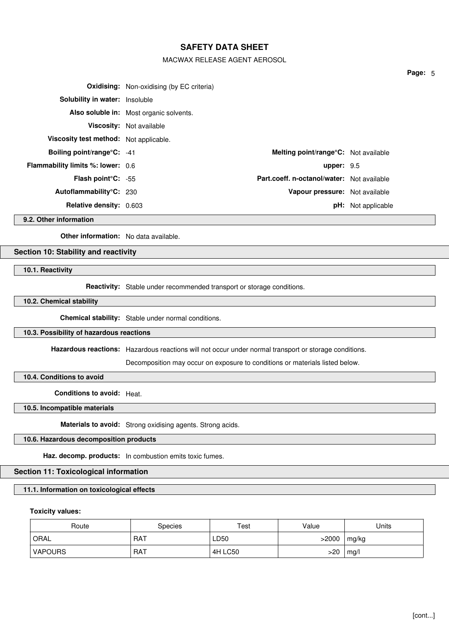## MACWAX RELEASE AGENT AEROSOL

|                                          | <b>Oxidising:</b> Non-oxidising (by EC criteria) |                                            |                           |
|------------------------------------------|--------------------------------------------------|--------------------------------------------|---------------------------|
| <b>Solubility in water:</b> Insoluble    |                                                  |                                            |                           |
|                                          | Also soluble in: Most organic solvents.          |                                            |                           |
|                                          | <b>Viscosity:</b> Not available                  |                                            |                           |
| Viscosity test method: Not applicable.   |                                                  |                                            |                           |
| <b>Boiling point/range°C:</b> -41        |                                                  | Melting point/range°C: Not available       |                           |
| <b>Flammability limits %: lower:</b> 0.6 |                                                  | upper: $9.5$                               |                           |
| <b>Flash point °C:</b> $-55$             |                                                  | Part.coeff. n-octanol/water: Not available |                           |
| Autoflammability°C: 230                  |                                                  | Vapour pressure: Not available             |                           |
| <b>Relative density: 0.603</b>           |                                                  |                                            | <b>pH:</b> Not applicable |

**9.2. Other information**

**Other information:** No data available.

## **Section 10: Stability and reactivity**

**10.1. Reactivity**

**Reactivity:** Stable under recommended transport or storage conditions.

**10.2. Chemical stability**

**Chemical stability:** Stable under normal conditions.

#### **10.3. Possibility of hazardous reactions**

**Hazardous reactions:** Hazardous reactions will not occur under normal transport or storage conditions.

Decomposition may occur on exposure to conditions or materials listed below.

**10.4. Conditions to avoid**

**Conditions to avoid:** Heat.

**10.5. Incompatible materials**

**Materials to avoid:** Strong oxidising agents. Strong acids.

## **10.6. Hazardous decomposition products**

**Haz. decomp. products:** In combustion emits toxic fumes.

## **Section 11: Toxicological information**

## **11.1. Information on toxicological effects**

### **Toxicity values:**

| Route          | <b>Species</b> | Test    | Value | Units |
|----------------|----------------|---------|-------|-------|
| ORAL           | <b>RAT</b>     | LD50    | >2000 | mg/kg |
| <b>VAPOURS</b> | RAT            | 4H LC50 | >20   | mg/l  |

**Page:** 5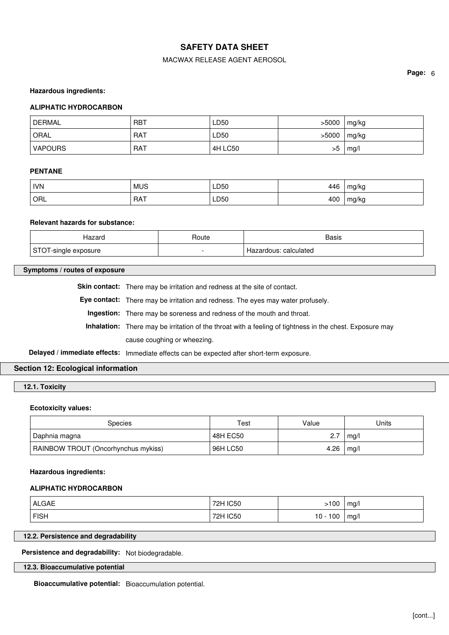## MACWAX RELEASE AGENT AEROSOL

**Page:** 6

### **Hazardous ingredients:**

### **ALIPHATIC HYDROCARBON**

| <b>DERMAL</b> | . RBT      | LD50    | >5000 | mg/kg |
|---------------|------------|---------|-------|-------|
| ORAL          | <b>RAT</b> | LD50    | >5000 | mg/kg |
| VAPOURS       | RAT        | 4H LC50 | >5    | mg/l  |

### **PENTANE**

| NN <b>N</b> | <b>MUS</b> | LD50       | 446 | mg/kg |
|-------------|------------|------------|-----|-------|
| ORL         | <b>RAT</b> | LD50<br>__ | 400 | mg/kg |

### **Relevant hazards for substance:**

| Hazaro                              | ⊀oute | Basis                 |
|-------------------------------------|-------|-----------------------|
| C⊤∩<br>-single<br>exposure<br>,,,,, | -     | Hazardous: calculated |

### **Symptoms / routes of exposure**

Skin contact: There may be irritation and redness at the site of contact.

**Eye contact:** There may be irritation and redness. The eyes may water profusely.

**Ingestion:** There may be soreness and redness of the mouth and throat.

**Inhalation:** There may be irritation of the throat with a feeling of tightness in the chest. Exposure may cause coughing or wheezing.

**Delayed / immediate effects:** Immediate effects can be expected after short-term exposure.

## **Section 12: Ecological information**

**12.1. Toxicity**

### **Ecotoxicity values:**

| <b>Species</b>                      | Test     | Value | Units |
|-------------------------------------|----------|-------|-------|
| Daphnia magna                       | 48H EC50 | 2.7   | mq/l  |
| RAINBOW TROUT (Oncorhynchus mykiss) | 96H LC50 | 4.26  | mg/l  |

#### **Hazardous ingredients:**

### **ALIPHATIC HYDROCARBON**

| <b>ALGAE</b> | 72H IC50 | >100       | mg/l |
|--------------|----------|------------|------|
| <b>FISH</b>  | 72H IC50 | $10 - 100$ | mg/l |

## **12.2. Persistence and degradability**

**Persistence and degradability:** Not biodegradable.

## **12.3. Bioaccumulative potential**

**Bioaccumulative potential:** Bioaccumulation potential.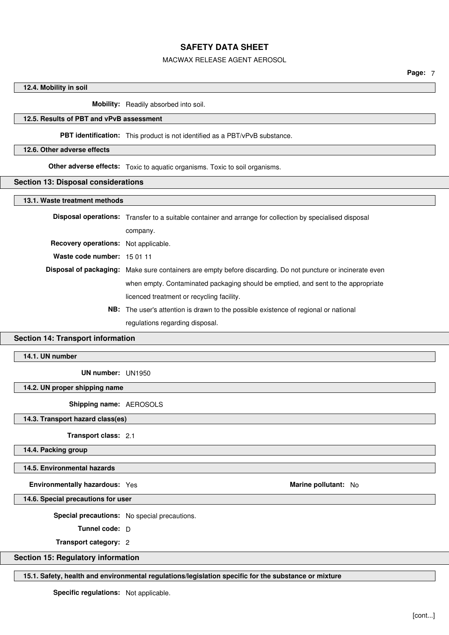## MACWAX RELEASE AGENT AEROSOL

## **12.4. Mobility in soil**

**Mobility:** Readily absorbed into soil.

## **12.5. Results of PBT and vPvB assessment**

## **PBT identification:** This product is not identified as a PBT/vPvB substance.

### **12.6. Other adverse effects**

**Other adverse effects:** Toxic to aquatic organisms. Toxic to soil organisms.

#### **Section 13: Disposal considerations**

#### **13.1. Waste treatment methods**

|                                      | <b>Disposal operations:</b> Transfer to a suitable container and arrange for collection by specialised disposal |
|--------------------------------------|-----------------------------------------------------------------------------------------------------------------|
|                                      | company.                                                                                                        |
| Recovery operations: Not applicable. |                                                                                                                 |
| Waste code number: 15 01 11          |                                                                                                                 |
|                                      | Disposal of packaging: Make sure containers are empty before discarding. Do not puncture or incinerate even     |
|                                      | when empty. Contaminated packaging should be emptied, and sent to the appropriate                               |
|                                      | licenced treatment or recycling facility.                                                                       |
|                                      | <b>NB:</b> The user's attention is drawn to the possible existence of regional or national                      |

regulations regarding disposal.

## **Section 14: Transport information**

## **14.1. UN number**

**UN number:** UN1950

## **14.2. UN proper shipping name**

**Shipping name:** AEROSOLS

**14.3. Transport hazard class(es)**

**Transport class:** 2.1

**14.4. Packing group**

#### **14.5. Environmental hazards**

**Environmentally hazardous:** Yes **Marine pollutant:** No Marine pollutant: No

**14.6. Special precautions for user**

**Special precautions:** No special precautions.

**Tunnel code:** D

**Transport category:** 2

## **Section 15: Regulatory information**

**15.1. Safety, health and environmental regulations/legislation specific for the substance or mixture**

**Specific regulations:** Not applicable.